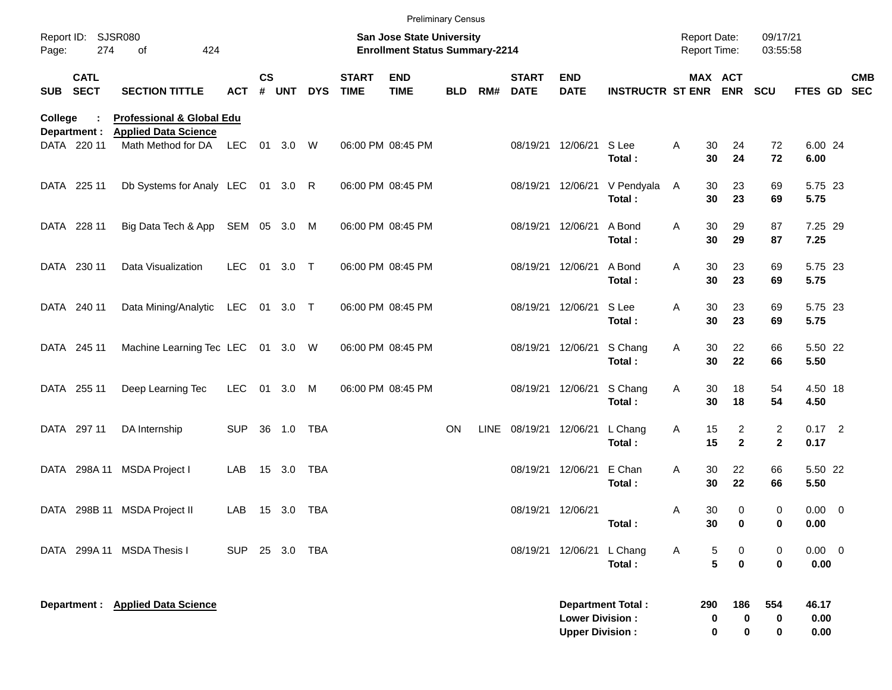|            |                            |                                                                     |            |               |            |            |                             |                                                                    | <b>Preliminary Census</b> |      |                             |                                                  |                          |                                     |                                         |                                |                       |            |
|------------|----------------------------|---------------------------------------------------------------------|------------|---------------|------------|------------|-----------------------------|--------------------------------------------------------------------|---------------------------|------|-----------------------------|--------------------------------------------------|--------------------------|-------------------------------------|-----------------------------------------|--------------------------------|-----------------------|------------|
| Page:      | Report ID: SJSR080<br>274  | 424<br>of                                                           |            |               |            |            |                             | San Jose State University<br><b>Enrollment Status Summary-2214</b> |                           |      |                             |                                                  |                          | <b>Report Date:</b><br>Report Time: |                                         | 09/17/21<br>03:55:58           |                       |            |
| <b>SUB</b> | <b>CATL</b><br><b>SECT</b> | <b>SECTION TITTLE</b>                                               | <b>ACT</b> | $\mathsf{cs}$ | # UNT      | <b>DYS</b> | <b>START</b><br><b>TIME</b> | <b>END</b><br><b>TIME</b>                                          | <b>BLD</b>                | RM#  | <b>START</b><br><b>DATE</b> | <b>END</b><br><b>DATE</b>                        | <b>INSTRUCTR ST ENR</b>  |                                     | MAX ACT<br><b>ENR</b>                   | <b>SCU</b>                     | FTES GD SEC           | <b>CMB</b> |
| College    | Department :               | <b>Professional &amp; Global Edu</b><br><b>Applied Data Science</b> |            |               |            |            |                             |                                                                    |                           |      |                             |                                                  |                          |                                     |                                         |                                |                       |            |
|            | DATA 220 11                | Math Method for DA                                                  | <b>LEC</b> |               | 01 3.0 W   |            |                             | 06:00 PM 08:45 PM                                                  |                           |      | 08/19/21                    | 12/06/21                                         | S Lee<br>Total:          | 30<br>Α<br>30                       | 24<br>24                                | 72<br>72                       | 6.00 24<br>6.00       |            |
|            | DATA 225 11                | Db Systems for Analy LEC 01 3.0 R                                   |            |               |            |            |                             | 06:00 PM 08:45 PM                                                  |                           |      |                             | 08/19/21 12/06/21                                | V Pendyala<br>Total:     | 30<br>A<br>30                       | 23<br>23                                | 69<br>69                       | 5.75 23<br>5.75       |            |
|            | DATA 228 11                | Big Data Tech & App                                                 | SEM 05 3.0 |               |            | M          |                             | 06:00 PM 08:45 PM                                                  |                           |      |                             | 08/19/21 12/06/21                                | A Bond<br>Total:         | 30<br>A<br>30                       | 29<br>29                                | 87<br>87                       | 7.25 29<br>7.25       |            |
|            | DATA 230 11                | Data Visualization                                                  | <b>LEC</b> | 01            | $3.0$ T    |            |                             | 06:00 PM 08:45 PM                                                  |                           |      |                             | 08/19/21 12/06/21                                | A Bond<br>Total:         | 30<br>A<br>30                       | 23<br>23                                | 69<br>69                       | 5.75 23<br>5.75       |            |
|            | DATA 240 11                | Data Mining/Analytic                                                | LEC        |               | 01 3.0 T   |            |                             | 06:00 PM 08:45 PM                                                  |                           |      |                             | 08/19/21 12/06/21                                | S Lee<br>Total:          | 30<br>A<br>30                       | 23<br>23                                | 69<br>69                       | 5.75 23<br>5.75       |            |
|            | DATA 245 11                | Machine Learning Tec LEC 01 3.0 W                                   |            |               |            |            |                             | 06:00 PM 08:45 PM                                                  |                           |      |                             | 08/19/21 12/06/21                                | S Chang<br>Total:        | 30<br>A<br>30                       | 22<br>22                                | 66<br>66                       | 5.50 22<br>5.50       |            |
|            | DATA 255 11                | Deep Learning Tec                                                   | <b>LEC</b> | 01            | 3.0        | M          |                             | 06:00 PM 08:45 PM                                                  |                           |      |                             | 08/19/21 12/06/21                                | S Chang<br>Total:        | 30<br>A<br>30                       | 18<br>18                                | 54<br>54                       | 4.50 18<br>4.50       |            |
|            | DATA 297 11                | DA Internship                                                       | <b>SUP</b> |               | 36 1.0     | TBA        |                             |                                                                    | <b>ON</b>                 | LINE | 08/19/21                    | 12/06/21                                         | L Chang<br>Total:        | 15<br>A<br>15                       | 2<br>$\mathbf{2}$                       | $\overline{2}$<br>$\mathbf{2}$ | $0.17$ 2<br>0.17      |            |
| DATA       | 298A 11                    | <b>MSDA Project I</b>                                               | LAB        |               | 15 3.0     | TBA        |                             |                                                                    |                           |      | 08/19/21                    | 12/06/21                                         | E Chan<br>Total:         | 30<br>A<br>30                       | 22<br>22                                | 66<br>66                       | 5.50 22<br>5.50       |            |
|            |                            | DATA 298B 11 MSDA Project II                                        | LAB        |               | 15 3.0 TBA |            |                             |                                                                    |                           |      |                             | 08/19/21 12/06/21                                | Total:                   | 30<br>A<br>30                       | 0<br>0                                  | 0<br>0                         | $0.00 \t 0$<br>0.00   |            |
|            |                            | DATA 299A 11 MSDA Thesis I                                          | <b>SUP</b> |               | 25 3.0     | TBA        |                             |                                                                    |                           |      |                             | 08/19/21 12/06/21                                | L Chang<br>Total:        | A                                   | 5<br>0<br>$5\phantom{a}$<br>$\mathbf 0$ | 0<br>0                         | $0.00 \t 0$<br>0.00   |            |
|            |                            | Department : Applied Data Science                                   |            |               |            |            |                             |                                                                    |                           |      |                             | <b>Lower Division:</b><br><b>Upper Division:</b> | <b>Department Total:</b> | 290                                 | 186<br>0<br>0<br>0<br>0                 | 554<br>0<br>0                  | 46.17<br>0.00<br>0.00 |            |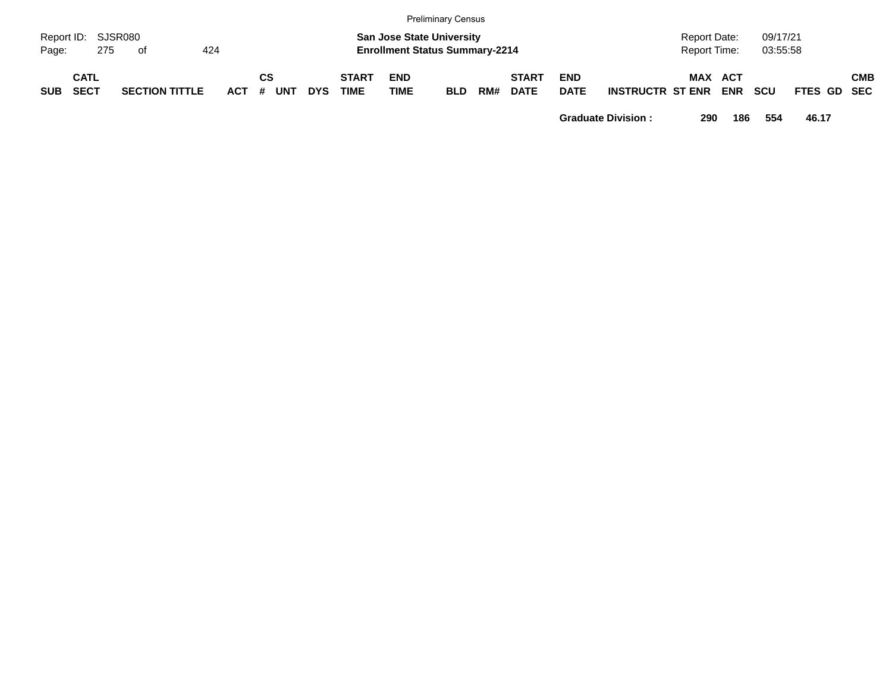|            |                            |                       |     |         |    |            |            |                             |                           | <b>Preliminary Census</b>                                                 |     |                             |                           |                             |                                     |                      |             |            |
|------------|----------------------------|-----------------------|-----|---------|----|------------|------------|-----------------------------|---------------------------|---------------------------------------------------------------------------|-----|-----------------------------|---------------------------|-----------------------------|-------------------------------------|----------------------|-------------|------------|
| Page:      | Report ID: SJSR080<br>275  | of                    | 424 |         |    |            |            |                             |                           | <b>San Jose State University</b><br><b>Enrollment Status Summary-2214</b> |     |                             |                           |                             | <b>Report Date:</b><br>Report Time: | 09/17/21<br>03:55:58 |             |            |
| <b>SUB</b> | <b>CATL</b><br><b>SECT</b> | <b>SECTION TITTLE</b> |     | $ACT$ # | CS | <b>UNT</b> | <b>DYS</b> | <b>START</b><br><b>TIME</b> | <b>END</b><br><b>TIME</b> | <b>BLD</b>                                                                | RM# | <b>START</b><br><b>DATE</b> | <b>END</b><br><b>DATE</b> | <b>INSTRUCTR ST ENR ENR</b> | MAX ACT                             | <b>SCU</b>           | FTES GD SEC | <b>CMB</b> |

**Graduate Division : 290 186 554 46.17**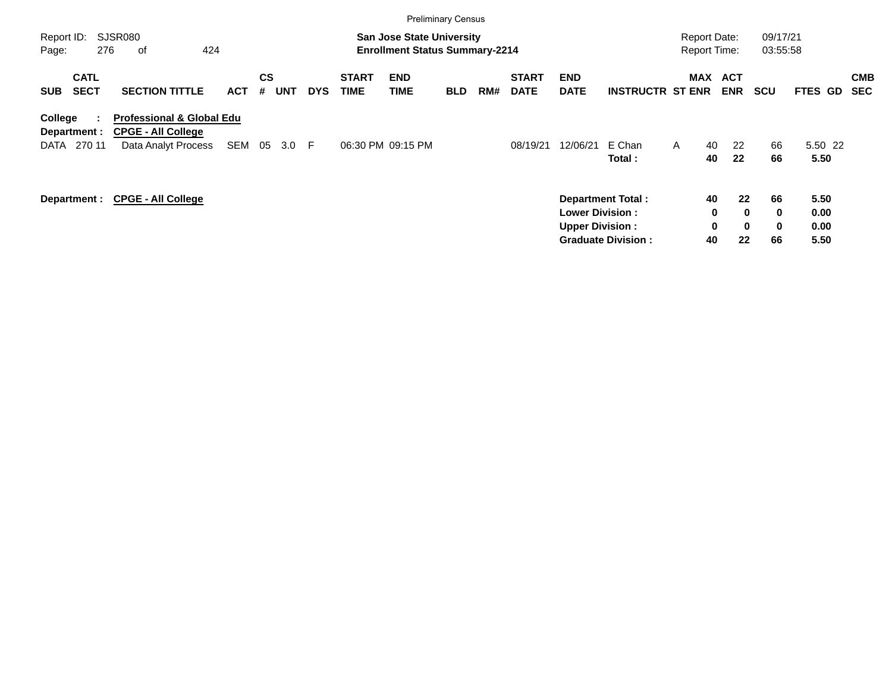|                                           |                                                                                          |            |                       |            |                             | <b>Preliminary Census</b>                                                 |            |     |                             |                                                  |                                                       |                                     |                                                             |                                        |                              |                          |
|-------------------------------------------|------------------------------------------------------------------------------------------|------------|-----------------------|------------|-----------------------------|---------------------------------------------------------------------------|------------|-----|-----------------------------|--------------------------------------------------|-------------------------------------------------------|-------------------------------------|-------------------------------------------------------------|----------------------------------------|------------------------------|--------------------------|
| Report ID:<br>276<br>Page:                | <b>SJSR080</b><br>424<br>οf                                                              |            |                       |            |                             | <b>San Jose State University</b><br><b>Enrollment Status Summary-2214</b> |            |     |                             |                                                  |                                                       | <b>Report Date:</b><br>Report Time: |                                                             | 09/17/21<br>03:55:58                   |                              |                          |
| <b>CATL</b><br><b>SECT</b><br><b>SUB</b>  | <b>SECTION TITTLE</b>                                                                    | <b>ACT</b> | CS<br><b>UNT</b><br># | <b>DYS</b> | <b>START</b><br><b>TIME</b> | <b>END</b><br><b>TIME</b>                                                 | <b>BLD</b> | RM# | <b>START</b><br><b>DATE</b> | <b>END</b><br><b>DATE</b>                        | <b>INSTRUCTR ST ENR</b>                               | <b>MAX</b>                          | <b>ACT</b><br><b>ENR</b>                                    | <b>SCU</b>                             | <b>FTES GD</b>               | <b>CMB</b><br><b>SEC</b> |
| College<br>Department :<br>270 11<br>DATA | <b>Professional &amp; Global Edu</b><br><b>CPGE - All College</b><br>Data Analyt Process | SEM        | 05<br>3.0             | -F         |                             | 06:30 PM 09:15 PM                                                         |            |     | 08/19/21                    | 12/06/21                                         | E Chan<br>Total:                                      | A                                   | 22<br>40<br>22<br>40                                        | 66<br>66                               | 5.50 22<br>5.50              |                          |
| Department :                              | <b>CPGE - All College</b>                                                                |            |                       |            |                             |                                                                           |            |     |                             | <b>Lower Division:</b><br><b>Upper Division:</b> | <b>Department Total:</b><br><b>Graduate Division:</b> |                                     | 40<br>$22 \,$<br>0<br>$\bf{0}$<br>0<br>$\bf{0}$<br>40<br>22 | 66<br>$\mathbf 0$<br>$\mathbf 0$<br>66 | 5.50<br>0.00<br>0.00<br>5.50 |                          |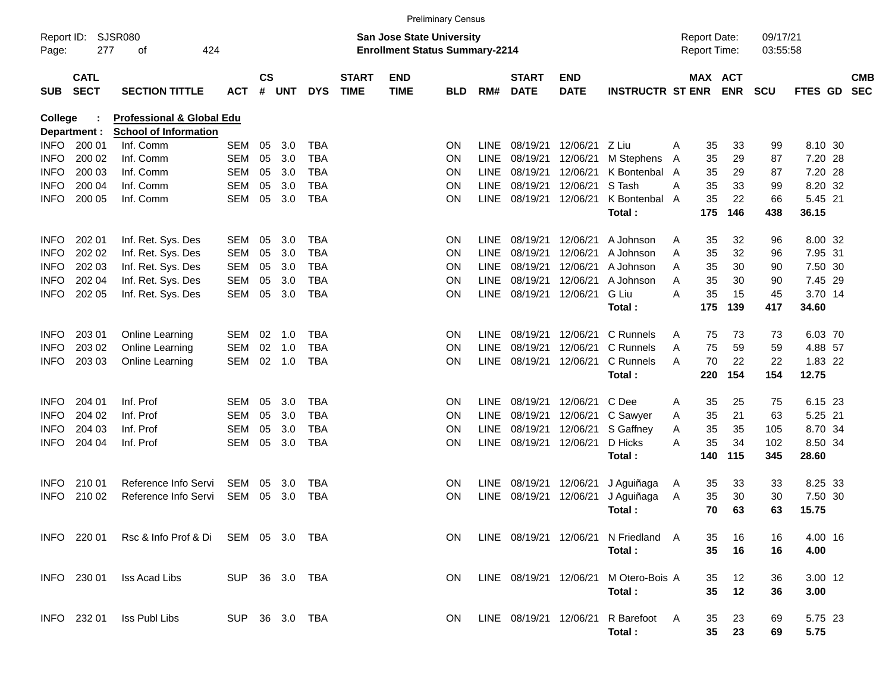|                     |                            |                                                 |                |               |                |            |                             |                                                                           | <b>Preliminary Census</b> |             |                             |                    |                                      |   |                                            |            |                      |                  |                          |
|---------------------|----------------------------|-------------------------------------------------|----------------|---------------|----------------|------------|-----------------------------|---------------------------------------------------------------------------|---------------------------|-------------|-----------------------------|--------------------|--------------------------------------|---|--------------------------------------------|------------|----------------------|------------------|--------------------------|
| Report ID:<br>Page: | 277                        | <b>SJSR080</b><br>424<br>οf                     |                |               |                |            |                             | <b>San Jose State University</b><br><b>Enrollment Status Summary-2214</b> |                           |             |                             |                    |                                      |   | <b>Report Date:</b><br><b>Report Time:</b> |            | 09/17/21<br>03:55:58 |                  |                          |
| <b>SUB</b>          | <b>CATL</b><br><b>SECT</b> | <b>SECTION TITTLE</b>                           | <b>ACT</b>     | $\mathsf{cs}$ | # UNT          | <b>DYS</b> | <b>START</b><br><b>TIME</b> | <b>END</b><br><b>TIME</b>                                                 | <b>BLD</b>                | RM#         | <b>START</b><br><b>DATE</b> | END<br><b>DATE</b> | <b>INSTRUCTR ST ENR</b>              |   | MAX ACT                                    | <b>ENR</b> | <b>SCU</b>           | FTES GD          | <b>CMB</b><br><b>SEC</b> |
| College             |                            | <b>Professional &amp; Global Edu</b>            |                |               |                |            |                             |                                                                           |                           |             |                             |                    |                                      |   |                                            |            |                      |                  |                          |
|                     | Department :               | <b>School of Information</b>                    |                |               |                |            |                             |                                                                           |                           |             |                             |                    |                                      |   |                                            |            |                      |                  |                          |
| INFO.               | 200 01                     | Inf. Comm                                       | SEM            | 05            | 3.0            | <b>TBA</b> |                             |                                                                           | ON                        | <b>LINE</b> | 08/19/21                    | 12/06/21           | Z Liu                                | A | 35                                         | 33         | 99                   | 8.10 30          |                          |
| <b>INFO</b>         | 200 02                     | Inf. Comm                                       | <b>SEM</b>     | 05            | 3.0            | <b>TBA</b> |                             |                                                                           | ΟN                        | <b>LINE</b> | 08/19/21                    | 12/06/21           | M Stephens                           | A | 35                                         | 29         | 87                   | 7.20 28          |                          |
| INFO                | 200 03                     | Inf. Comm                                       | SEM            | 05            | 3.0            | TBA        |                             |                                                                           | ΟN                        | <b>LINE</b> | 08/19/21                    | 12/06/21           | K Bontenbal A                        |   | 35                                         | 29         | 87                   | 7.20 28          |                          |
| INFO                | 200 04                     | Inf. Comm                                       | <b>SEM</b>     | 05            | 3.0            | <b>TBA</b> |                             |                                                                           | ON                        | <b>LINE</b> | 08/19/21                    | 12/06/21           | S Tash                               | Α | 35                                         | 33         | 99                   | 8.20 32          |                          |
| <b>INFO</b>         | 200 05                     | Inf. Comm                                       | <b>SEM</b>     | 05            | 3.0            | <b>TBA</b> |                             |                                                                           | ON                        |             | LINE 08/19/21               | 12/06/21           | K Bontenbal A<br>Total:              |   | 35<br>175                                  | 22<br>146  | 66<br>438            | 5.45 21<br>36.15 |                          |
|                     |                            |                                                 |                |               |                |            |                             |                                                                           |                           |             |                             |                    |                                      |   |                                            |            |                      |                  |                          |
| <b>INFO</b>         | 202 01                     | Inf. Ret. Sys. Des                              | SEM            | 05            | 3.0            | <b>TBA</b> |                             |                                                                           | ON                        | <b>LINE</b> | 08/19/21                    | 12/06/21           | A Johnson                            | A | 35                                         | 32         | 96                   | 8.00 32          |                          |
| <b>INFO</b>         | 202 02                     | Inf. Ret. Sys. Des                              | <b>SEM</b>     | 05            | 3.0            | TBA        |                             |                                                                           | ΟN                        | <b>LINE</b> | 08/19/21                    | 12/06/21           | A Johnson                            | A | 35                                         | 32         | 96                   | 7.95 31          |                          |
| <b>INFO</b>         | 202 03                     | Inf. Ret. Sys. Des                              | <b>SEM</b>     | 05            | 3.0            | TBA        |                             |                                                                           | ΟN                        | <b>LINE</b> | 08/19/21                    | 12/06/21           | A Johnson                            | A | 35                                         | 30         | 90                   | 7.50 30          |                          |
| INFO                | 202 04                     | Inf. Ret. Sys. Des                              | <b>SEM</b>     | 05            | 3.0            | TBA        |                             |                                                                           | ON                        | <b>LINE</b> | 08/19/21                    | 12/06/21           | A Johnson                            | A | 35                                         | 30         | 90                   | 7.45 29          |                          |
| <b>INFO</b>         | 202 05                     | Inf. Ret. Sys. Des                              | <b>SEM</b>     | 05            | 3.0            | <b>TBA</b> |                             |                                                                           | ON                        |             | LINE 08/19/21               | 12/06/21           | G Liu                                | А | 35                                         | 15         | 45                   | 3.70 14          |                          |
|                     |                            |                                                 |                |               |                |            |                             |                                                                           |                           |             |                             |                    | Total:                               |   | 175                                        | 139        | 417                  | 34.60            |                          |
| <b>INFO</b>         | 203 01                     | Online Learning                                 | <b>SEM</b>     | 02            | 1.0            | <b>TBA</b> |                             |                                                                           | ON                        | <b>LINE</b> | 08/19/21                    | 12/06/21           | C Runnels                            | A | 75                                         | 73         | 73                   | 6.03 70          |                          |
| <b>INFO</b>         | 203 02                     | Online Learning                                 | <b>SEM</b>     | 02            | 1.0            | <b>TBA</b> |                             |                                                                           | ΟN                        | <b>LINE</b> | 08/19/21                    | 12/06/21           | C Runnels                            | A | 75                                         | 59         | 59                   | 4.88 57          |                          |
| <b>INFO</b>         | 203 03                     | Online Learning                                 | <b>SEM</b>     |               | $02 \quad 1.0$ | <b>TBA</b> |                             |                                                                           | ON                        |             | LINE 08/19/21               | 12/06/21           | C Runnels                            | A | 70                                         | 22         | 22                   | 1.83 22          |                          |
|                     |                            |                                                 |                |               |                |            |                             |                                                                           |                           |             |                             |                    | Total:                               |   | 220                                        | 154        | 154                  | 12.75            |                          |
| <b>INFO</b>         | 204 01                     | Inf. Prof                                       | SEM            | 05            | 3.0            | <b>TBA</b> |                             |                                                                           | ΟN                        | <b>LINE</b> | 08/19/21                    | 12/06/21           | C Dee                                | Α | 35                                         | 25         | 75                   | 6.15 23          |                          |
| <b>INFO</b>         | 204 02                     | Inf. Prof                                       | SEM            | 05            | 3.0            | TBA        |                             |                                                                           | ON                        | <b>LINE</b> | 08/19/21                    | 12/06/21           | C Sawyer                             | A | 35                                         | 21         | 63                   | 5.25 21          |                          |
| INFO                | 204 03                     | Inf. Prof                                       | SEM            | 05            | 3.0            | TBA        |                             |                                                                           | ON                        | <b>LINE</b> | 08/19/21                    | 12/06/21           | S Gaffney                            | A | 35                                         | 35         | 105                  | 8.70 34          |                          |
| <b>INFO</b>         | 204 04                     | Inf. Prof                                       | <b>SEM</b>     | 05            | 3.0            | <b>TBA</b> |                             |                                                                           | ΟN                        |             | LINE 08/19/21               | 12/06/21           | D Hicks                              | Α | 35                                         | 34         | 102                  | 8.50 34          |                          |
|                     |                            |                                                 |                |               |                |            |                             |                                                                           |                           |             |                             |                    | Total:                               |   | 140                                        | 115        | 345                  | 28.60            |                          |
| <b>INFO</b>         | 210 01                     | Reference Info Servi                            | SEM            | 05            | 3.0            | <b>TBA</b> |                             |                                                                           | 0N                        |             | LINE 08/19/21               | 12/06/21           | J Aguiñaga                           | A | 35                                         | 33         | 33                   | 8.25 33          |                          |
| <b>INFO</b>         | 210 02                     | Reference Info Servi                            | <b>SEM</b>     | 05            | 3.0            | TBA        |                             |                                                                           | ON                        | LINE        | 08/19/21                    | 12/06/21           | J Aguiñaga                           | A | 35                                         | 30         | 30                   | 7.50 30          |                          |
|                     |                            |                                                 |                |               |                |            |                             |                                                                           |                           |             |                             |                    | Total:                               |   | 70                                         | 63         | 63                   | 15.75            |                          |
|                     |                            | INFO 220 01 Rsc & Info Prof & Di SEM 05 3.0 TBA |                |               |                |            |                             |                                                                           | ON.                       |             |                             |                    | LINE 08/19/21 12/06/21 N Friedland A |   | 35                                         | 16         | 16                   | 4.00 16          |                          |
|                     |                            |                                                 |                |               |                |            |                             |                                                                           |                           |             |                             |                    | Total:                               |   | 35                                         | 16         | 16                   | 4.00             |                          |
|                     | INFO 230 01                | Iss Acad Libs                                   | SUP 36 3.0 TBA |               |                |            |                             |                                                                           | ON.                       |             | LINE 08/19/21 12/06/21      |                    | M Otero-Bois A                       |   | 35                                         | 12         | 36                   | 3.00 12          |                          |
|                     |                            |                                                 |                |               |                |            |                             |                                                                           |                           |             |                             |                    | Total:                               |   | 35                                         | 12         | 36                   | 3.00             |                          |
|                     | INFO 232 01                | Iss Publ Libs                                   | SUP 36 3.0 TBA |               |                |            |                             |                                                                           | ON.                       |             | LINE 08/19/21 12/06/21      |                    | R Barefoot A                         |   | 35                                         | 23         | 69                   | 5.75 23          |                          |
|                     |                            |                                                 |                |               |                |            |                             |                                                                           |                           |             |                             |                    | Total:                               |   | 35                                         | 23         | 69                   | 5.75             |                          |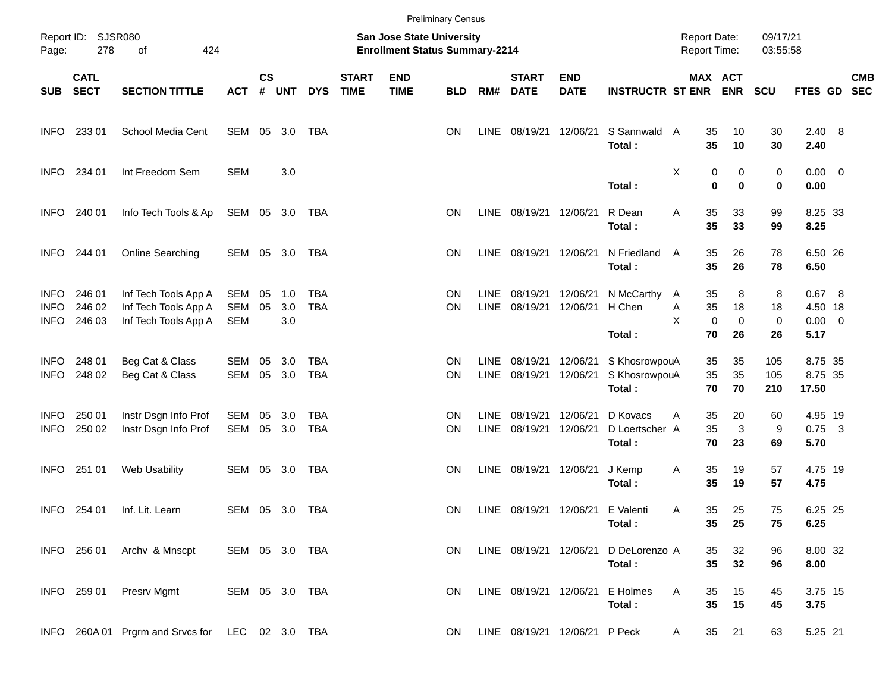|                                    |                            |                                                                      |                   |               |                   |                   |                             |                                                                           | <b>Preliminary Census</b> |                            |                             |                               |                                                    |                                     |                                       |                         |                                     |            |
|------------------------------------|----------------------------|----------------------------------------------------------------------|-------------------|---------------|-------------------|-------------------|-----------------------------|---------------------------------------------------------------------------|---------------------------|----------------------------|-----------------------------|-------------------------------|----------------------------------------------------|-------------------------------------|---------------------------------------|-------------------------|-------------------------------------|------------|
| Page:                              | Report ID: SJSR080<br>278  | of<br>424                                                            |                   |               |                   |                   |                             | <b>San Jose State University</b><br><b>Enrollment Status Summary-2214</b> |                           |                            |                             |                               |                                                    | <b>Report Date:</b><br>Report Time: |                                       | 09/17/21<br>03:55:58    |                                     |            |
| <b>SUB</b>                         | <b>CATL</b><br><b>SECT</b> | <b>SECTION TITTLE</b>                                                | <b>ACT</b>        | $\mathsf{cs}$ | # UNT             | <b>DYS</b>        | <b>START</b><br><b>TIME</b> | <b>END</b><br><b>TIME</b>                                                 | <b>BLD</b>                | RM#                        | <b>START</b><br><b>DATE</b> | <b>END</b><br><b>DATE</b>     | <b>INSTRUCTR ST ENR ENR</b>                        |                                     | MAX ACT                               | <b>SCU</b>              | FTES GD SEC                         | <b>CMB</b> |
| <b>INFO</b>                        | 233 01                     | School Media Cent                                                    | SEM 05 3.0        |               |                   | TBA               |                             |                                                                           | ON.                       | LINE                       |                             | 08/19/21 12/06/21             | S Sannwald A<br>Total:                             | 35<br>35                            | 10<br>10                              | 30<br>30                | $2.40\quad 8$<br>2.40               |            |
| <b>INFO</b>                        | 234 01                     | Int Freedom Sem                                                      | <b>SEM</b>        |               | 3.0               |                   |                             |                                                                           |                           |                            |                             |                               | Total:                                             | Χ                                   | 0<br>0<br>0<br>$\mathbf 0$            | 0<br>0                  | $0.00 \t 0$<br>0.00                 |            |
| <b>INFO</b>                        | 240 01                     | Info Tech Tools & Ap                                                 | SEM 05 3.0 TBA    |               |                   |                   |                             |                                                                           | ΟN                        |                            | LINE 08/19/21 12/06/21      |                               | R Dean<br>Total:                                   | Α<br>35<br>35                       | 33<br>33                              | 99<br>99                | 8.25 33<br>8.25                     |            |
| <b>INFO</b>                        | 244 01                     | Online Searching                                                     | SEM 05 3.0        |               |                   | TBA               |                             |                                                                           | ΟN                        | LINE                       | 08/19/21 12/06/21           |                               | N Friedland<br>Total:                              | 35<br>A<br>35                       | 26<br>26                              | 78<br>78                | 6.50 26<br>6.50                     |            |
| <b>INFO</b><br><b>INFO</b><br>INFO | 246 01<br>246 02<br>246 03 | Inf Tech Tools App A<br>Inf Tech Tools App A<br>Inf Tech Tools App A | SEM<br>SEM<br>SEM | 05<br>05      | 1.0<br>3.0<br>3.0 | TBA<br><b>TBA</b> |                             |                                                                           | <b>ON</b><br>ΟN           | <b>LINE</b><br><b>LINE</b> | 08/19/21<br>08/19/21        | 12/06/21                      | 12/06/21 N McCarthy<br>H Chen                      | 35<br>A<br>35<br>Α<br>X             | 8<br>18<br>$\mathbf 0$<br>$\mathbf 0$ | 8<br>18<br>0            | 0.67 8<br>4.50 18<br>$0.00 \t 0$    |            |
| <b>INFO</b><br><b>INFO</b>         | 248 01<br>248 02           | Beg Cat & Class<br>Beg Cat & Class                                   | SEM<br>SEM        | 05<br>05 3.0  | 3.0               | TBA<br><b>TBA</b> |                             |                                                                           | ΟN<br>ΟN                  | <b>LINE</b><br>LINE        | 08/19/21<br>08/19/21        | 12/06/21<br>12/06/21          | Total:<br>S KhosrowpouA<br>S KhosrowpouA<br>Total: | 70<br>35<br>35<br>70                | 26<br>35<br>35<br>70                  | 26<br>105<br>105<br>210 | 5.17<br>8.75 35<br>8.75 35<br>17.50 |            |
| <b>INFO</b><br><b>INFO</b>         | 250 01<br>250 02           | Instr Dsgn Info Prof<br>Instr Dsgn Info Prof                         | SEM<br>SEM        | 05<br>05 3.0  | 3.0               | TBA<br>TBA        |                             |                                                                           | ΟN<br>ΟN                  | <b>LINE</b><br><b>LINE</b> | 08/19/21<br>08/19/21        | 12/06/21<br>12/06/21          | D Kovacs<br>D Loertscher A<br>Total:               | 35<br>A<br>35<br>70                 | 20<br>3<br>23                         | 60<br>9<br>69           | 4.95 19<br>$0.75$ 3<br>5.70         |            |
| INFO.                              | 251 01                     | Web Usability                                                        | SEM 05 3.0        |               |                   | TBA               |                             |                                                                           | ΟN                        | <b>LINE</b>                | 08/19/21 12/06/21           |                               | J Kemp<br>Total:                                   | 35<br>A<br>35                       | 19<br>19                              | 57<br>57                | 4.75 19<br>4.75                     |            |
| INFO                               | 254 01                     | Inf. Lit. Learn                                                      | SEM 05 3.0        |               |                   | TBA               |                             |                                                                           | ON.                       | LINE                       |                             | 08/19/21 12/06/21 E Valenti   | Total:                                             | 35<br>Α                             | 25<br>35 25                           | 75<br>75                | 6.25 25<br>6.25                     |            |
|                                    | INFO 256 01                | Archy & Mnscpt                                                       | SEM 05 3.0 TBA    |               |                   |                   |                             |                                                                           | ON.                       |                            | LINE 08/19/21 12/06/21      |                               | D DeLorenzo A<br>Total:                            | 35<br>35                            | 32<br>32                              | 96<br>96                | 8.00 32<br>8.00                     |            |
|                                    | INFO 259 01                | Presrv Mgmt                                                          | SEM 05 3.0 TBA    |               |                   |                   |                             |                                                                           | ON.                       |                            | LINE 08/19/21 12/06/21      |                               | E Holmes<br>Total:                                 | Α<br>35<br>35                       | 15<br>15                              | 45<br>45                | 3.75 15<br>3.75                     |            |
|                                    |                            | INFO 260A 01 Prgrm and Srvcs for LEC 02 3.0 TBA                      |                   |               |                   |                   |                             |                                                                           | ON.                       |                            |                             | LINE 08/19/21 12/06/21 P Peck |                                                    | 35<br>A                             | 21                                    | 63                      | 5.25 21                             |            |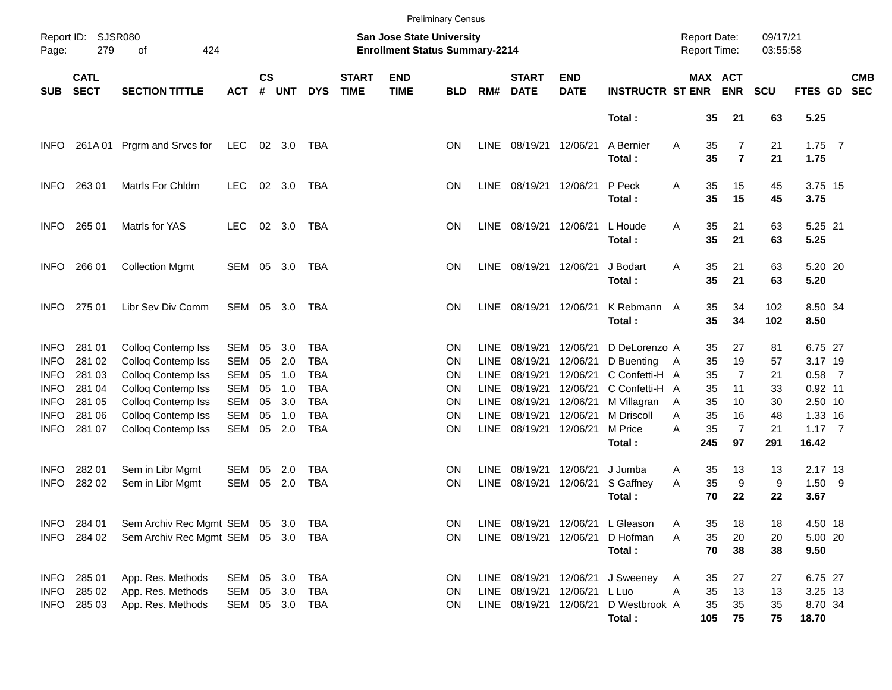|             |                            |                                    |            |                |            |            |                             |                                                                    | <b>Preliminary Census</b> |             |                             |                           |                         |                                            |                       |                      |                         |                          |
|-------------|----------------------------|------------------------------------|------------|----------------|------------|------------|-----------------------------|--------------------------------------------------------------------|---------------------------|-------------|-----------------------------|---------------------------|-------------------------|--------------------------------------------|-----------------------|----------------------|-------------------------|--------------------------|
| Page:       | Report ID: SJSR080<br>279  | 424<br>of                          |            |                |            |            |                             | San Jose State University<br><b>Enrollment Status Summary-2214</b> |                           |             |                             |                           |                         | <b>Report Date:</b><br><b>Report Time:</b> |                       | 09/17/21<br>03:55:58 |                         |                          |
| <b>SUB</b>  | <b>CATL</b><br><b>SECT</b> | <b>SECTION TITTLE</b>              | <b>ACT</b> | <b>CS</b><br># | <b>UNT</b> | <b>DYS</b> | <b>START</b><br><b>TIME</b> | <b>END</b><br><b>TIME</b>                                          | <b>BLD</b>                | RM#         | <b>START</b><br><b>DATE</b> | <b>END</b><br><b>DATE</b> | <b>INSTRUCTR ST ENR</b> |                                            | MAX ACT<br><b>ENR</b> | <b>SCU</b>           | FTES GD                 | <b>CMB</b><br><b>SEC</b> |
|             |                            |                                    |            |                |            |            |                             |                                                                    |                           |             |                             |                           | Total:                  | 35                                         | 21                    | 63                   | 5.25                    |                          |
| <b>INFO</b> | 261A 01                    | Prgrm and Srvcs for                | LEC        |                | 02 3.0     | TBA        |                             |                                                                    | ΟN                        |             | LINE 08/19/21 12/06/21      |                           | A Bernier<br>Total:     | 35<br>Α<br>35                              | 7<br>$\overline{7}$   | 21<br>21             | $1.75$ 7<br>1.75        |                          |
| <b>INFO</b> | 263 01                     | Matrls For Chldrn                  | <b>LEC</b> |                | 02 3.0     | TBA        |                             |                                                                    | ΟN                        |             | LINE 08/19/21 12/06/21      |                           | P Peck<br>Total:        | 35<br>Α<br>35                              | 15<br>15              | 45<br>45             | 3.75 15<br>3.75         |                          |
| <b>INFO</b> | 265 01                     | Matrls for YAS                     | <b>LEC</b> |                | 02 3.0     | TBA        |                             |                                                                    | ΟN                        |             | LINE 08/19/21 12/06/21      |                           | L Houde<br>Total:       | 35<br>A<br>35                              | 21<br>21              | 63<br>63             | 5.25 21<br>5.25         |                          |
| <b>INFO</b> | 266 01                     | <b>Collection Mgmt</b>             | SEM 05 3.0 |                |            | TBA        |                             |                                                                    | ΟN                        |             | LINE 08/19/21 12/06/21      |                           | J Bodart<br>Total:      | 35<br>A<br>35                              | 21<br>21              | 63<br>63             | 5.20 20<br>5.20         |                          |
| <b>INFO</b> | 275 01                     | Libr Sev Div Comm                  | SEM 05 3.0 |                |            | TBA        |                             |                                                                    | ΟN                        |             | LINE 08/19/21 12/06/21      |                           | K Rebmann A<br>Total:   | 35<br>35                                   | 34<br>34              | 102<br>102           | 8.50 34<br>8.50         |                          |
| <b>INFO</b> | 281 01                     | Colloq Contemp Iss                 | <b>SEM</b> | 05             | 3.0        | TBA        |                             |                                                                    | ΟN                        | <b>LINE</b> | 08/19/21                    | 12/06/21                  | D DeLorenzo A           | 35                                         | 27                    | 81                   | 6.75 27                 |                          |
| <b>INFO</b> | 281 02                     | Colloq Contemp Iss                 | <b>SEM</b> | 05             | 2.0        | <b>TBA</b> |                             |                                                                    | ΟN                        | <b>LINE</b> | 08/19/21                    | 12/06/21                  | D Buenting              | 35<br>A                                    | 19                    | 57                   | 3.17 19                 |                          |
| <b>INFO</b> | 281 03                     | Colloq Contemp Iss                 | <b>SEM</b> | 05             | 1.0        | <b>TBA</b> |                             |                                                                    | ΟN                        | <b>LINE</b> | 08/19/21                    | 12/06/21                  | C Confetti-H A          | 35                                         | $\overline{7}$        | 21                   | $0.58$ 7                |                          |
| <b>INFO</b> | 281 04                     | Colloq Contemp Iss                 | <b>SEM</b> | 05             | 1.0        | <b>TBA</b> |                             |                                                                    | ΟN                        | <b>LINE</b> | 08/19/21                    | 12/06/21                  | C Confetti-H A          | 35                                         | 11                    | 33                   | $0.92$ 11               |                          |
| <b>INFO</b> | 281 05                     | Colloq Contemp Iss                 | <b>SEM</b> | 05             | 3.0        | <b>TBA</b> |                             |                                                                    | ΟN                        | <b>LINE</b> | 08/19/21                    | 12/06/21                  | M Villagran             | 35<br>A                                    | 10                    | 30                   | 2.50 10                 |                          |
| <b>INFO</b> | 281 06                     | Colloq Contemp Iss                 | <b>SEM</b> | 05             | 1.0        | <b>TBA</b> |                             |                                                                    | ΟN                        | <b>LINE</b> | 08/19/21                    | 12/06/21                  | M Driscoll              | 35<br>A                                    | 16                    | 48                   | 1.33 16                 |                          |
| <b>INFO</b> | 281 07                     | Colloq Contemp Iss                 | <b>SEM</b> | 05             | 2.0        | <b>TBA</b> |                             |                                                                    | ΟN                        | <b>LINE</b> | 08/19/21 12/06/21           |                           | M Price<br>Total:       | 35<br>A<br>245                             | $\overline{7}$<br>97  | 21<br>291            | $1.17 \quad 7$<br>16.42 |                          |
| <b>INFO</b> | 282 01                     | Sem in Libr Mgmt                   | SEM        | 05             | 2.0        | TBA        |                             |                                                                    | ΟN                        | <b>LINE</b> | 08/19/21                    | 12/06/21                  | J Jumba                 | 35<br>A                                    | 13                    | 13                   | 2.17 13                 |                          |
| <b>INFO</b> | 282 02                     | Sem in Libr Mgmt                   | SEM        | 05             | 2.0        | <b>TBA</b> |                             |                                                                    | ON                        | <b>LINE</b> | 08/19/21 12/06/21           |                           | S Gaffney               | 35<br>Α                                    | 9                     | 9                    | $1.50$ 9                |                          |
|             |                            |                                    |            |                |            |            |                             |                                                                    |                           |             |                             |                           | Total:                  | 70                                         | 22                    | 22                   | 3.67                    |                          |
|             | INFO 284 01                | Sem Archiv Rec Mgmt SEM 05 3.0 TBA |            |                |            |            |                             |                                                                    | ΟN                        |             | LINE 08/19/21 12/06/21      |                           | L Gleason               | 35<br>A                                    | 18                    | 18                   | 4.50 18                 |                          |
|             | INFO 284 02                | Sem Archiv Rec Mgmt SEM 05 3.0 TBA |            |                |            |            |                             |                                                                    | ON                        |             | LINE 08/19/21 12/06/21      |                           | D Hofman                | 35<br>Α                                    | 20                    | 20                   | 5.00 20                 |                          |
|             |                            |                                    |            |                |            |            |                             |                                                                    |                           |             |                             |                           | Total:                  | 70                                         | 38                    | 38                   | 9.50                    |                          |
| INFO        | 285 01                     | App. Res. Methods                  | SEM        |                | 05 3.0     | TBA        |                             |                                                                    | <b>ON</b>                 |             | LINE 08/19/21 12/06/21      |                           | J Sweeney               | 35<br>A                                    | 27                    | 27                   | 6.75 27                 |                          |
| <b>INFO</b> | 285 02                     | App. Res. Methods                  | SEM        |                | 05 3.0     | TBA        |                             |                                                                    | ON                        |             | LINE 08/19/21 12/06/21      |                           | L Luo                   | 35<br>Α                                    | 13                    | 13                   | 3.25 13                 |                          |
| <b>INFO</b> | 285 03                     | App. Res. Methods                  | SEM        |                |            | 05 3.0 TBA |                             |                                                                    | ON                        |             | LINE 08/19/21 12/06/21      |                           | D Westbrook A<br>Total: | 35<br>105                                  | 35<br>75              | 35<br>75             | 8.70 34<br>18.70        |                          |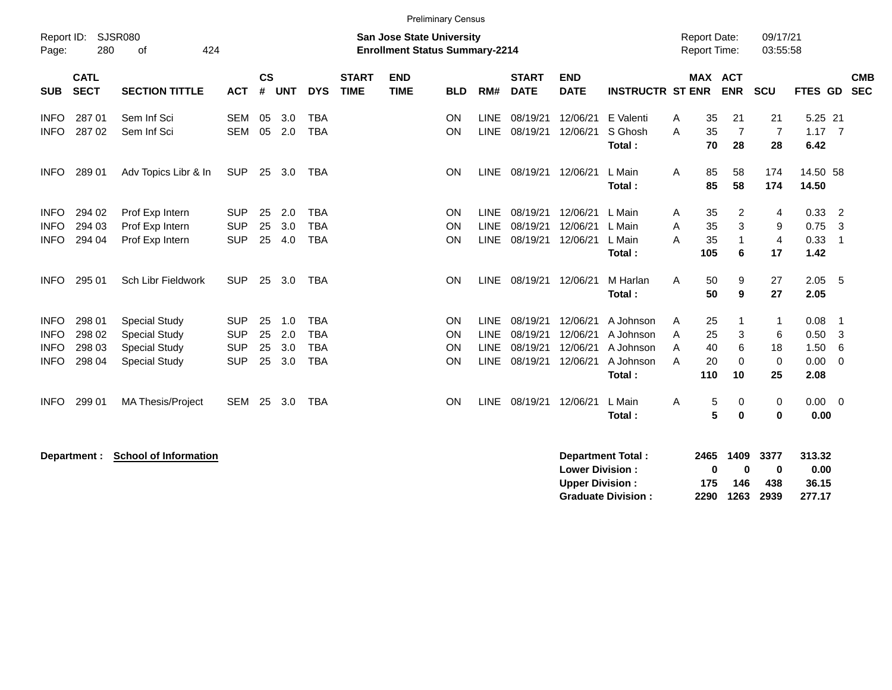|                                                          |                                      |                                                                                              |                                                      |                      |                          |                                                      |                             |                                                                           | <b>Preliminary Census</b> |                                                   |                                              |                                              |                                                            |                  |                                     |                              |                                |                                      |                            |
|----------------------------------------------------------|--------------------------------------|----------------------------------------------------------------------------------------------|------------------------------------------------------|----------------------|--------------------------|------------------------------------------------------|-----------------------------|---------------------------------------------------------------------------|---------------------------|---------------------------------------------------|----------------------------------------------|----------------------------------------------|------------------------------------------------------------|------------------|-------------------------------------|------------------------------|--------------------------------|--------------------------------------|----------------------------|
| Report ID:<br>Page:                                      | 280                                  | <b>SJSR080</b><br>424<br>of                                                                  |                                                      |                      |                          |                                                      |                             | <b>San Jose State University</b><br><b>Enrollment Status Summary-2214</b> |                           |                                                   |                                              |                                              |                                                            |                  | <b>Report Date:</b><br>Report Time: |                              | 09/17/21<br>03:55:58           |                                      |                            |
| <b>SUB</b>                                               | <b>CATL</b><br><b>SECT</b>           | <b>SECTION TITTLE</b>                                                                        | <b>ACT</b>                                           | $\mathsf{cs}$<br>#   | <b>UNT</b>               | <b>DYS</b>                                           | <b>START</b><br><b>TIME</b> | <b>END</b><br><b>TIME</b>                                                 | <b>BLD</b>                | RM#                                               | <b>START</b><br><b>DATE</b>                  | <b>END</b><br><b>DATE</b>                    | <b>INSTRUCTR ST ENR</b>                                    |                  |                                     | <b>MAX ACT</b><br><b>ENR</b> | <b>SCU</b>                     | FTES GD                              | <b>CMB</b><br><b>SEC</b>   |
| <b>INFO</b><br><b>INFO</b>                               | 287 01<br>287 02                     | Sem Inf Sci<br>Sem Inf Sci                                                                   | <b>SEM</b><br><b>SEM</b>                             | 05<br>05             | 3.0<br>2.0               | <b>TBA</b><br><b>TBA</b>                             |                             |                                                                           | ON<br>ON                  | <b>LINE</b><br><b>LINE</b>                        | 08/19/21<br>08/19/21                         | 12/06/21<br>12/06/21                         | E Valenti<br>S Ghosh<br>Total:                             | A<br>A           | 35<br>35<br>70                      | 21<br>$\overline{7}$<br>28   | 21<br>$\overline{7}$<br>28     | 5.25 21<br>1.17<br>6.42              | $\overline{7}$             |
| <b>INFO</b>                                              | 289 01                               | Adv Topics Libr & In                                                                         | <b>SUP</b>                                           | 25                   | 3.0                      | <b>TBA</b>                                           |                             |                                                                           | ON                        | LINE                                              | 08/19/21                                     | 12/06/21                                     | L Main<br>Total:                                           | A                | 85<br>85                            | 58<br>58                     | 174<br>174                     | 14.50 58<br>14.50                    |                            |
| <b>INFO</b><br><b>INFO</b><br><b>INFO</b>                | 294 02<br>294 03<br>294 04           | Prof Exp Intern<br>Prof Exp Intern<br>Prof Exp Intern                                        | <b>SUP</b><br><b>SUP</b><br><b>SUP</b>               | 25<br>25<br>25       | 2.0<br>3.0<br>4.0        | <b>TBA</b><br><b>TBA</b><br><b>TBA</b>               |                             |                                                                           | ON<br>ON<br>ON            | <b>LINE</b><br><b>LINE</b><br>LINE                | 08/19/21<br>08/19/21<br>08/19/21             | 12/06/21<br>12/06/21<br>12/06/21             | L Main<br>L Main<br>L Main<br>Total:                       | A<br>A<br>A      | 35<br>35<br>35<br>105               | 2<br>3<br>$\mathbf{1}$<br>6  | 4<br>9<br>$\overline{4}$<br>17 | 0.33<br>0.75<br>0.33<br>1.42         | 2<br>3<br>-1               |
| <b>INFO</b>                                              | 295 01                               | Sch Libr Fieldwork                                                                           | <b>SUP</b>                                           | 25                   | 3.0                      | <b>TBA</b>                                           |                             |                                                                           | ON                        | <b>LINE</b>                                       | 08/19/21                                     | 12/06/21                                     | M Harlan<br>Total:                                         | A                | 50<br>50                            | 9<br>9                       | 27<br>27                       | 2.05<br>2.05                         | 5                          |
| <b>INFO</b><br><b>INFO</b><br><b>INFO</b><br><b>INFO</b> | 298 01<br>298 02<br>298 03<br>298 04 | <b>Special Study</b><br><b>Special Study</b><br><b>Special Study</b><br><b>Special Study</b> | <b>SUP</b><br><b>SUP</b><br><b>SUP</b><br><b>SUP</b> | 25<br>25<br>25<br>25 | 1.0<br>2.0<br>3.0<br>3.0 | <b>TBA</b><br><b>TBA</b><br><b>TBA</b><br><b>TBA</b> |                             |                                                                           | ON<br>ON<br>ON<br>ON      | <b>LINE</b><br><b>LINE</b><br><b>LINE</b><br>LINE | 08/19/21<br>08/19/21<br>08/19/21<br>08/19/21 | 12/06/21<br>12/06/21<br>12/06/21<br>12/06/21 | A Johnson<br>A Johnson<br>A Johnson<br>A Johnson<br>Total: | A<br>A<br>A<br>A | 25<br>25<br>40<br>20<br>110         | 1<br>3<br>6<br>0<br>10       | 6<br>18<br>$\mathbf 0$<br>25   | 0.08<br>0.50<br>1.50<br>0.00<br>2.08 | $\mathbf 1$<br>3<br>6<br>0 |
| <b>INFO</b>                                              | 299 01                               | MA Thesis/Project                                                                            | <b>SEM</b>                                           | 25                   | 3.0                      | <b>TBA</b>                                           |                             |                                                                           | ON                        | <b>LINE</b>                                       | 08/19/21                                     | 12/06/21                                     | L Main<br>Total:                                           | A                | 5<br>5                              | 0<br>0                       | 0<br>0                         | 0.00<br>0.00                         | - 0                        |

**Department : School of Information** 

| Department Total:         |     | 2465 1409 3377 |     | 313.32 |
|---------------------------|-----|----------------|-----|--------|
| <b>Lower Division:</b>    | o   | n              | n   | 0.00   |
| Upper Division:           | 175 | 146            | 438 | 36.15  |
| <b>Graduate Division:</b> |     | 2290 1263 2939 |     | 277.17 |